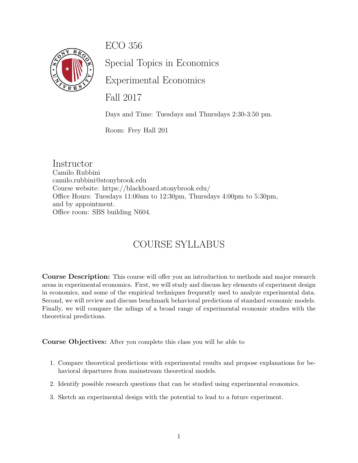ECO 356



Special Topics in Economics

Experimental Economics

Fall 2017

Days and Time: Tuesdays and Thursdays 2:30-3:50 pm.

Room: Frey Hall 201

Instructor Camilo Rubbini camilo.rubbini@stonybrook.edu Course website: https://blackboard.stonybrook.edu/ Office Hours: Tuesdays 11:00am to 12:30pm, Thursdays 4:00pm to 5:30pm, and by appointment. Office room: SBS building N604.

# COURSE SYLLABUS

Course Description: This course will offer you an introduction to methods and major research areas in experimental economics. First, we will study and discuss key elements of experiment design in economics, and some of the empirical techniques frequently used to analyze experimental data. Second, we will review and discuss benchmark behavioral predictions of standard economic models. Finally, we will compare the ndings of a broad range of experimental economic studies with the theoretical predictions.

Course Objectives: After you complete this class you will be able to

- 1. Compare theoretical predictions with experimental results and propose explanations for behavioral departures from mainstream theoretical models.
- 2. Identify possible research questions that can be studied using experimental economics.
- 3. Sketch an experimental design with the potential to lead to a future experiment.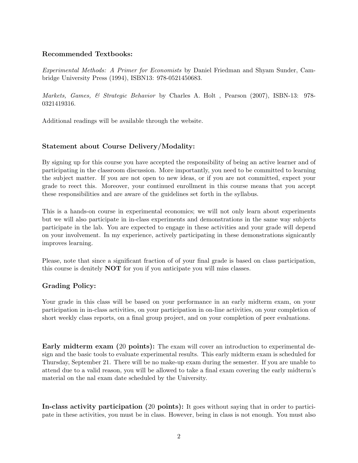#### Recommended Textbooks:

Experimental Methods: A Primer for Economists by Daniel Friedman and Shyam Sunder, Cambridge University Press (1994), ISBN13: 978-0521450683.

Markets, Games, & Strategic Behavior by Charles A. Holt , Pearson (2007), ISBN-13: 978- 0321419316.

Additional readings will be available through the website.

#### Statement about Course Delivery/Modality:

By signing up for this course you have accepted the responsibility of being an active learner and of participating in the classroom discussion. More importantly, you need to be committed to learning the subject matter. If you are not open to new ideas, or if you are not committed, expect your grade to reect this. Moreover, your continued enrollment in this course means that you accept these responsibilities and are aware of the guidelines set forth in the syllabus.

This is a hands-on course in experimental economics; we will not only learn about experiments but we will also participate in in-class experiments and demonstrations in the same way subjects participate in the lab. You are expected to engage in these activities and your grade will depend on your involvement. In my experience, actively participating in these demonstrations signicantly improves learning.

Please, note that since a significant fraction of of your final grade is based on class participation, this course is denitely NOT for you if you anticipate you will miss classes.

#### Grading Policy:

Your grade in this class will be based on your performance in an early midterm exam, on your participation in in-class activities, on your participation in on-line activities, on your completion of short weekly class reports, on a final group project, and on your completion of peer evaluations.

Early midterm exam (20 points): The exam will cover an introduction to experimental design and the basic tools to evaluate experimental results. This early midterm exam is scheduled for Thursday, September 21. There will be no make-up exam during the semester. If you are unable to attend due to a valid reason, you will be allowed to take a final exam covering the early midterm's material on the nal exam date scheduled by the University.

In-class activity participation (20 points): It goes without saying that in order to participate in these activities, you must be in class. However, being in class is not enough. You must also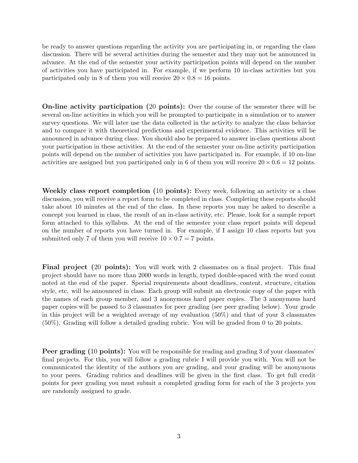be ready to answer questions regarding the activity you are participating in, or regarding the class discussion. There will be several activities during the semester and they may not be announced in advance. At the end of the semester your activity participation points will depend on the number of activities you have participated in. For example, if we perform 10 in-class activities but you participated only in 8 of them you will receive  $20 \times 0.8 = 16$  points.

On-line activity participation (20 points): Over the course of the semester there will be several on-line activities in which you will be prompted to participate in a simulation or to answer survey questions. We will later use the data collected in the activity to analyze the class behavior and to compare it with theoretical predictions and experimental evidence. This activities will be announced in advance during class. You should also be prepared to answer in-class questions about your participation in these activities. At the end of the semester your on-line activity participation points will depend on the number of activities you have participated in. For example, if 10 on-line activities are assigned but you participated only in 6 of them you will receive  $20 \times 0.6 = 12$  points.

Weekly class report completion (10 points): Every week, following an activity or a class discussion, you will receive a report form to be completed in class. Completing these reports should take about 10 minutes at the end of the class. In these reports you may be asked to describe a concept you learned in class, the result of an in-class activity, etc. Please, look for a sample report form attached to this syllabus. At the end of the semester your class report points will depend on the number of reports you have turned in. For example, if I assign 10 class reports but you submitted only 7 of them you will receive  $10 \times 0.7 = 7$  points.

Final project (20 points): You will work with 2 classmates on a final project. This final project should have no more than 2000 words in length, typed double-spaced with the word count noted at the end of the paper. Special requirements about deadlines, content, structure, citation style, etc. will be announced in class. Each group will submit an electronic copy of the paper with the names of each group member, and 3 anonymous hard paper copies. The 3 anonymous hard paper copies will be passed to 3 classmates for peer grading (see peer grading below). Your grade in this project will be a weighted average of my evaluation (50%) and that of your 3 classmates (50%). Grading will follow a detailed grading rubric. You will be graded from 0 to 20 points.

Peer grading (10 points): You will be responsible for reading and grading 3 of your classmates' final projects. For this, you will follow a grading rubric I will provide you with. You will not be communicated the identity of the authors you are grading, and your grading will be anonymous to your peers. Grading rubrics and deadlines will be given in the first class. To get full credit points for peer grading you must submit a completed grading form for each of the 3 projects you are randomly assigned to grade.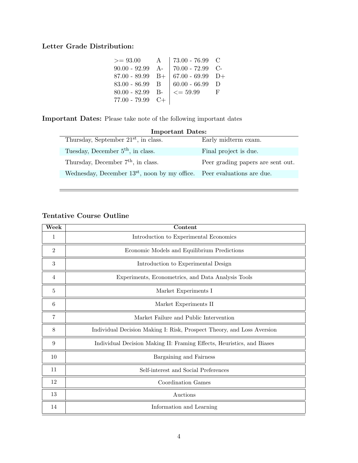## Letter Grade Distribution:

| $>= 93.00$         | A | $ 73.00 - 76.99$ C              |   |
|--------------------|---|---------------------------------|---|
| $90.00 - 92.99$ A- |   | $ 70.00 - 72.99$ C-             |   |
| $87.00 - 89.99$ B+ |   | $  67.00 - 69.99   D +$         |   |
| 83.00 - 86.99 B    |   | $60.00 - 66.99$ D               |   |
| $80.00 - 82.99$ B- |   | $\vert \langle = 59.99 \rangle$ | F |
| $77.00 - 79.99$ C+ |   |                                 |   |

#### Important Dates: Please take note of the following important dates

| <b>Important Dates:</b>                                                   |  |  |
|---------------------------------------------------------------------------|--|--|
| Early midterm exam.                                                       |  |  |
| Final project is due.                                                     |  |  |
| Peer grading papers are sent out.                                         |  |  |
| Wednesday, December $13st$ , noon by my office. Peer evaluations are due. |  |  |
|                                                                           |  |  |

### Tentative Course Outline

| Week            | Content                                                                |
|-----------------|------------------------------------------------------------------------|
| 1               | Introduction to Experimental Economics                                 |
| $\overline{2}$  | Economic Models and Equilibrium Predictions                            |
| $\sqrt{3}$      | Introduction to Experimental Design                                    |
| 4               | Experiments, Econometrics, and Data Analysis Tools                     |
| $\overline{5}$  | Market Experiments I                                                   |
| $6\phantom{.}6$ | Market Experiments II                                                  |
| 7               | Market Failure and Public Intervention                                 |
| 8               | Individual Decision Making I: Risk, Prospect Theory, and Loss Aversion |
| 9               | Individual Decision Making II: Framing Effects, Heuristics, and Biases |
| 10              | Bargaining and Fairness                                                |
| 11              | Self-interest and Social Preferences                                   |
| 12              | Coordination Games                                                     |
| 13              | Auctions                                                               |
| 14              | Information and Learning                                               |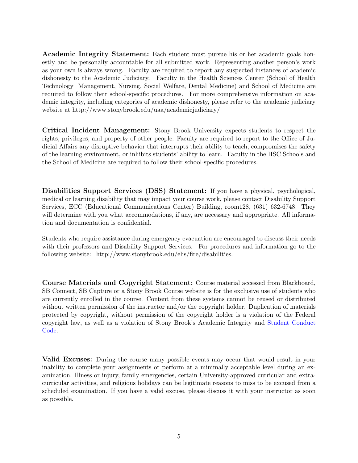Academic Integrity Statement: Each student must pursue his or her academic goals honestly and be personally accountable for all submitted work. Representing another person's work as your own is always wrong. Faculty are required to report any suspected instances of academic dishonesty to the Academic Judiciary. Faculty in the Health Sciences Center (School of Health Technology Management, Nursing, Social Welfare, Dental Medicine) and School of Medicine are required to follow their school-specific procedures. For more comprehensive information on academic integrity, including categories of academic dishonesty, please refer to the academic judiciary website at http://www.stonybrook.edu/uaa/academicjudiciary/

Critical Incident Management: Stony Brook University expects students to respect the rights, privileges, and property of other people. Faculty are required to report to the Office of Judicial Affairs any disruptive behavior that interrupts their ability to teach, compromises the safety of the learning environment, or inhibits students' ability to learn. Faculty in the HSC Schools and the School of Medicine are required to follow their school-specific procedures.

Disabilities Support Services (DSS) Statement: If you have a physical, psychological, medical or learning disability that may impact your course work, please contact Disability Support Services, ECC (Educational Communications Center) Building, room128, (631) 632-6748. They will determine with you what accommodations, if any, are necessary and appropriate. All information and documentation is confidential.

Students who require assistance during emergency evacuation are encouraged to discuss their needs with their professors and Disability Support Services. For procedures and information go to the following website: http://www.stonybrook.edu/ehs/fire/disabilities.

Course Materials and Copyright Statement: Course material accessed from Blackboard, SB Connect, SB Capture or a Stony Brook Course website is for the exclusive use of students who are currently enrolled in the course. Content from these systems cannot be reused or distributed without written permission of the instructor and/or the copyright holder. Duplication of materials protected by copyright, without permission of the copyright holder is a violation of the Federal copyright law, as well as a violation of Stony Brook's Academic Integrity and [Student Conduct](http://studentaffairs.stonybrook.edu/ucs/docs/universitystudentconductcode.pdf) [Code.](http://studentaffairs.stonybrook.edu/ucs/docs/universitystudentconductcode.pdf)

Valid Excuses: During the course many possible events may occur that would result in your inability to complete your assignments or perform at a minimally acceptable level during an examination. Illness or injury, family emergencies, certain University-approved curricular and extracurricular activities, and religious holidays can be legitimate reasons to miss to be excused from a scheduled examination. If you have a valid excuse, please discuss it with your instructor as soon as possible.